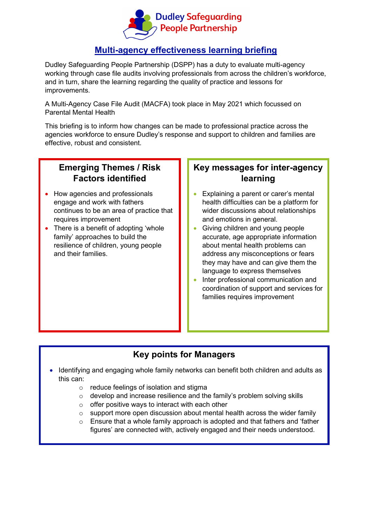

#### **Multi-agency effectiveness learning briefing**

Dudley Safeguarding People Partnership (DSPP) has a duty to evaluate multi-agency working through case file audits involving professionals from across the children's workforce, and in turn, share the learning regarding the quality of practice and lessons for improvements.

A Multi-Agency Case File Audit (MACFA) took place in May 2021 which focussed on Parental Mental Health

This briefing is to inform how changes can be made to professional practice across the agencies workforce to ensure Dudley's response and support to children and families are effective, robust and consistent.

# **Emerging Themes / Risk Factors identified**

- How agencies and professionals engage and work with fathers continues to be an area of practice that requires improvement
- There is a benefit of adopting 'whole family' approaches to build the resilience of children, young people and their families.

### **Key messages for inter-agency learning**

- Explaining a parent or carer's mental health difficulties can be a platform for wider discussions about relationships and emotions in general.
- Giving children and young people accurate, age appropriate information about mental health problems can address any misconceptions or fears they may have and can give them the language to express themselves
- Inter professional communication and coordination of support and services for families requires improvement

#### **Key points for Managers**

- Identifying and engaging whole family networks can benefit both children and adults as this can:
	- $\circ$  reduce feelings of isolation and stigma
	- o develop and increase resilience and the family's problem solving skills
	- $\circ$  offer positive ways to interact with each other
	- $\circ$  support more open discussion about mental health across the wider family
	- $\circ$  Ensure that a whole family approach is adopted and that fathers and 'father figures' are connected with, actively engaged and their needs understood.